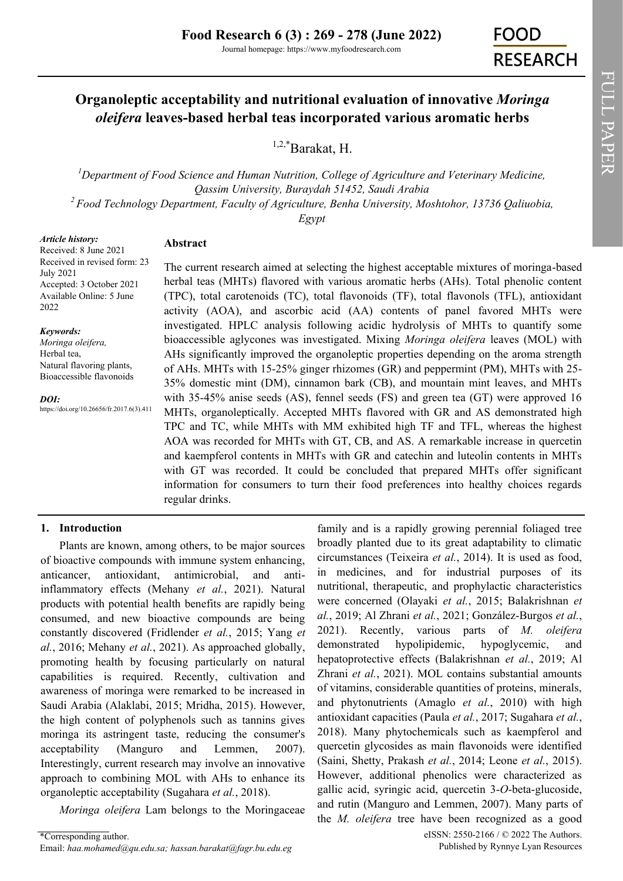# **Organoleptic acceptability and nutritional evaluation of innovative** *Moringa oleifera* **leaves-based herbal teas incorporated various aromatic herbs**

1,2,\*Barakat, H.

<sup>*I*</sup> Department of Food Science and Human Nutrition, College of Agriculture and Veterinary Medicine, *Qassim University, Buraydah 51452, Saudi Arabia <sup>2</sup>Food Technology Department, Faculty of Agriculture, Benha University, Moshtohor, 13736 Qaliuobia,* 

*Egypt*

*Article history:*

# **Abstract**

Received: 8 June 2021 Received in revised form: 23 July 2021 Accepted: 3 October 2021 Available Online: 5 June 2022

#### *Keywords:*

*Moringa oleifera,*  Herbal tea, Natural flavoring plants, Bioaccessible flavonoids

*DOI:*

https://doi.org/10.26656/fr.2017.6(3).411

The current research aimed at selecting the highest acceptable mixtures of moringa-based herbal teas (MHTs) flavored with various aromatic herbs (AHs). Total phenolic content (TPC), total carotenoids (TC), total flavonoids (TF), total flavonols (TFL), antioxidant activity (AOA), and ascorbic acid (AA) contents of panel favored MHTs were investigated. HPLC analysis following acidic hydrolysis of MHTs to quantify some bioaccessible aglycones was investigated. Mixing *Moringa oleifera* leaves (MOL) with AHs significantly improved the organoleptic properties depending on the aroma strength of AHs. MHTs with 15-25% ginger rhizomes (GR) and peppermint (PM), MHTs with 25- 35% domestic mint (DM), cinnamon bark (CB), and mountain mint leaves, and MHTs with 35-45% anise seeds (AS), fennel seeds (FS) and green tea (GT) were approved 16 MHTs, organoleptically. Accepted MHTs flavored with GR and AS demonstrated high TPC and TC, while MHTs with MM exhibited high TF and TFL, whereas the highest AOA was recorded for MHTs with GT, CB, and AS. A remarkable increase in quercetin and kaempferol contents in MHTs with GR and catechin and luteolin contents in MHTs with GT was recorded. It could be concluded that prepared MHTs offer significant information for consumers to turn their food preferences into healthy choices regards regular drinks.

# **1. Introduction**

Plants are known, among others, to be major sources of bioactive compounds with immune system enhancing, anticancer, antioxidant, antimicrobial, and antiinflammatory effects (Mehany *et al.*, 2021). Natural products with potential health benefits are rapidly being consumed, and new bioactive compounds are being constantly discovered (Fridlender *et al.*, 2015; Yang *et al.*, 2016; Mehany *et al.*, 2021). As approached globally, promoting health by focusing particularly on natural capabilities is required. Recently, cultivation and awareness of moringa were remarked to be increased in Saudi Arabia (Alaklabi, 2015; Mridha, 2015). However, the high content of polyphenols such as tannins gives moringa its astringent taste, reducing the consumer's acceptability (Manguro and Lemmen, 2007). Interestingly, current research may involve an innovative approach to combining MOL with AHs to enhance its organoleptic acceptability (Sugahara *et al.*, 2018).

*Moringa oleifera* Lam belongs to the Moringaceae

family and is a rapidly growing perennial foliaged tree broadly planted due to its great adaptability to climatic circumstances (Teixeira *et al.*, 2014). It is used as food, in medicines, and for industrial purposes of its nutritional, therapeutic, and prophylactic characteristics were concerned (Olayaki *et al.*, 2015; Balakrishnan *et al.*, 2019; Al Zhrani *et al.*, 2021; González-Burgos *et al.*, 2021). Recently, various parts of *M. oleifera* demonstrated hypolipidemic, hypoglycemic, and hepatoprotective effects (Balakrishnan *et al.*, 2019; Al Zhrani *et al.*, 2021). MOL contains substantial amounts of vitamins, considerable quantities of proteins, minerals, and phytonutrients (Amaglo *et al.*, 2010) with high antioxidant capacities (Paula *et al.*, 2017; Sugahara *et al.*, 2018). Many phytochemicals such as kaempferol and quercetin glycosides as main flavonoids were identified (Saini, Shetty, Prakash *et al.*, 2014; Leone *et al.*, 2015). However, additional phenolics were characterized as gallic acid, syringic acid, quercetin 3-*O*-beta-glucoside, and rutin (Manguro and Lemmen, 2007). Many parts of the *M. oleifera* tree have been recognized as a good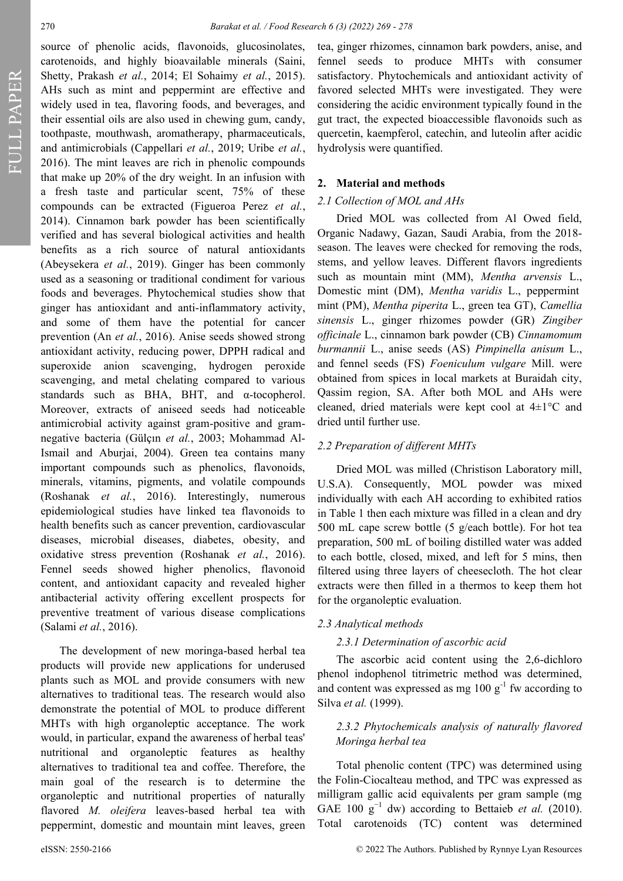FULL PAPER

source of phenolic acids, flavonoids, glucosinolates, carotenoids, and highly bioavailable minerals (Saini, Shetty, Prakash *et al.*, 2014; El Sohaimy *et al.*, 2015). AHs such as mint and peppermint are effective and widely used in tea, flavoring foods, and beverages, and their essential oils are also used in chewing gum, candy, toothpaste, mouthwash, aromatherapy, pharmaceuticals, and antimicrobials (Cappellari *et al.*, 2019; Uribe *et al.*, 2016). The mint leaves are rich in phenolic compounds that make up 20% of the dry weight. In an infusion with a fresh taste and particular scent, 75% of these compounds can be extracted (Figueroa Perez *et al.*, 2014). Cinnamon bark powder has been scientifically verified and has several biological activities and health benefits as a rich source of natural antioxidants (Abeysekera *et al.*, 2019). Ginger has been commonly used as a seasoning or traditional condiment for various foods and beverages. Phytochemical studies show that ginger has antioxidant and anti-inflammatory activity, and some of them have the potential for cancer prevention (An *et al.*, 2016). Anise seeds showed strong antioxidant activity, reducing power, DPPH radical and superoxide anion scavenging, hydrogen peroxide scavenging, and metal chelating compared to various standards such as BHA, BHT, and α-tocopherol. Moreover, extracts of aniseed seeds had noticeable antimicrobial activity against gram-positive and gramnegative bacteria (Gülçın *et al.*, 2003; Mohammad Al-Ismail and Aburjai, 2004). Green tea contains many important compounds such as phenolics, flavonoids, minerals, vitamins, pigments, and volatile compounds (Roshanak *et al.*, 2016). Interestingly, numerous epidemiological studies have linked tea flavonoids to health benefits such as cancer prevention, cardiovascular diseases, microbial diseases, diabetes, obesity, and oxidative stress prevention (Roshanak *et al.*, 2016). Fennel seeds showed higher phenolics, flavonoid content, and antioxidant capacity and revealed higher antibacterial activity offering excellent prospects for preventive treatment of various disease complications (Salami *et al.*, 2016).

The development of new moringa-based herbal tea products will provide new applications for underused plants such as MOL and provide consumers with new alternatives to traditional teas. The research would also demonstrate the potential of MOL to produce different MHTs with high organoleptic acceptance. The work would, in particular, expand the awareness of herbal teas' nutritional and organoleptic features as healthy alternatives to traditional tea and coffee. Therefore, the main goal of the research is to determine the organoleptic and nutritional properties of naturally flavored *M. oleifera* leaves-based herbal tea with peppermint, domestic and mountain mint leaves, green

tea, ginger rhizomes, cinnamon bark powders, anise, and fennel seeds to produce MHTs with consumer satisfactory. Phytochemicals and antioxidant activity of favored selected MHTs were investigated. They were considering the acidic environment typically found in the gut tract, the expected bioaccessible flavonoids such as quercetin, kaempferol, catechin, and luteolin after acidic hydrolysis were quantified.

#### **2. Material and methods**

### *2.1 Collection of MOL and AHs*

Dried MOL was collected from Al Owed field, Organic Nadawy, Gazan, Saudi Arabia, from the 2018 season. The leaves were checked for removing the rods, stems, and yellow leaves. Different flavors ingredients such as mountain mint (MM), *Mentha arvensis* L., Domestic mint (DM), *Mentha varidis* L., peppermint mint (PM), *Mentha piperita* L., green tea GT), *[Camellia](https://en.wikipedia.org/wiki/Camellia_sinensis)  [sinensis](https://en.wikipedia.org/wiki/Camellia_sinensis)* L., ginger rhizomes powder (GR) *Zingiber officinale* L., cinnamon bark powder (CB) *Cinnamomum burmannii* L., anise seeds (AS) *Pimpinella anisum* L., and fennel seeds (FS) *Foeniculum vulgare* Mill. were obtained from spices in local markets at Buraidah city, Qassim region, SA. After both MOL and AHs were cleaned, dried materials were kept cool at 4±1°C and dried until further use.

#### *2.2 Preparation of different MHTs*

Dried MOL was milled (Christison Laboratory mill, U.S.A). Consequently, MOL powder was mixed individually with each AH according to exhibited ratios in Table 1 then each mixture was filled in a clean and dry 500 mL cape screw bottle (5 g/each bottle). For hot tea preparation, 500 mL of boiling distilled water was added to each bottle, closed, mixed, and left for 5 mins, then filtered using three layers of cheesecloth. The hot clear extracts were then filled in a thermos to keep them hot for the organoleptic evaluation.

#### *2.3 Analytical methods*

#### *2.3.1 Determination of ascorbic acid*

The ascorbic acid content using the 2,6-dichloro phenol indophenol titrimetric method was determined, and content was expressed as mg  $100 \text{ g}^{-1}$  fw according to Silva *et al.* (1999).

# *2.3.2 Phytochemicals analysis of naturally flavored Moringa herbal tea*

Total phenolic content (TPC) was determined using the Folin-Ciocalteau method, and TPC was expressed as milligram gallic acid equivalents per gram sample (mg GAE 100  $g^{-1}$  dw) according to Bettaieb *et al.* (2010). Total carotenoids (TC) content was determined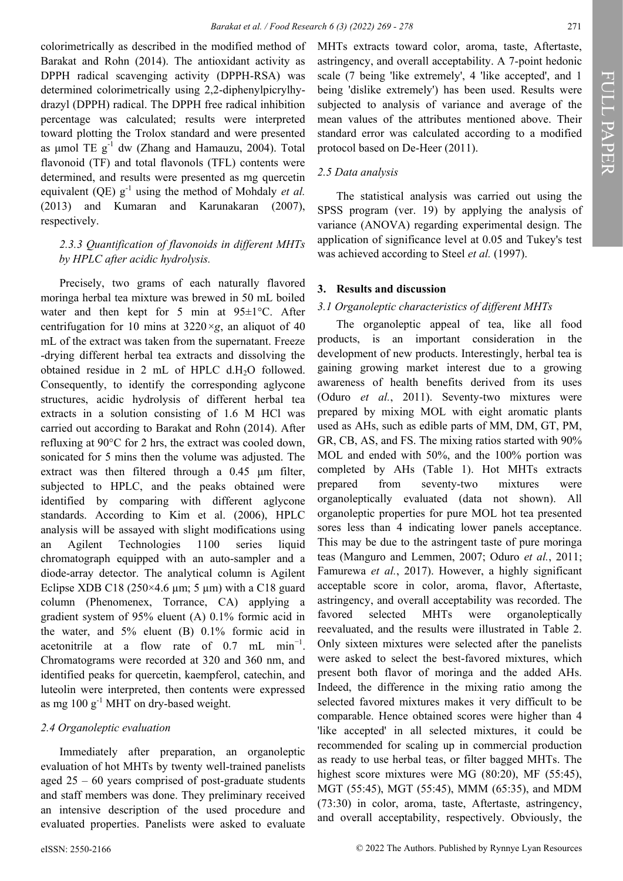colorimetrically as described in the modified method of Barakat and Rohn (2014). The antioxidant activity as DPPH radical scavenging activity (DPPH-RSA) was determined colorimetrically using 2,2-diphenylpicrylhydrazyl (DPPH) radical. The DPPH free radical inhibition percentage was calculated; results were interpreted toward plotting the Trolox standard and were presented as  $\mu$ mol TE  $g^{-1}$  dw (Zhang and Hamauzu, 2004). Total flavonoid (TF) and total flavonols (TFL) contents were determined, and results were presented as mg quercetin equivalent (QE)  $g^{-1}$  using the method of Mohdaly *et al.* (2013) and Kumaran and Karunakaran (2007), respectively.

## *2.3.3 Quantification of flavonoids in different MHTs by HPLC after acidic hydrolysis.*

Precisely, two grams of each naturally flavored moringa herbal tea mixture was brewed in 50 mL boiled water and then kept for 5 min at 95±1°C. After centrifugation for 10 mins at  $3220 \times g$ , an aliquot of 40 mL of the extract was taken from the supernatant. Freeze -drying different herbal tea extracts and dissolving the obtained residue in 2 mL of HPLC  $d.H<sub>2</sub>O$  followed. Consequently, to identify the corresponding aglycone structures, acidic hydrolysis of different herbal tea extracts in a solution consisting of 1.6 M HCl was carried out according to Barakat and Rohn (2014). After refluxing at 90°C for 2 hrs, the extract was cooled down, sonicated for 5 mins then the volume was adjusted. The extract was then filtered through a 0.45 μm filter, subjected to HPLC, and the peaks obtained were identified by comparing with different aglycone standards. According to Kim et al. (2006), HPLC analysis will be assayed with slight modifications using an Agilent Technologies 1100 series liquid chromatograph equipped with an auto-sampler and a diode-array detector. The analytical column is Agilent Eclipse XDB C18 (250×4.6  $\mu$ m; 5  $\mu$ m) with a C18 guard column (Phenomenex, Torrance, CA) applying a gradient system of 95% eluent (A) 0.1% formic acid in the water, and 5% eluent (B) 0.1% formic acid in acetonitrile at a flow rate of  $0.7$  mL min<sup>-1</sup>. Chromatograms were recorded at 320 and 360 nm, and identified peaks for quercetin, kaempferol, catechin, and luteolin were interpreted, then contents were expressed as mg  $100 g<sup>-1</sup>$  MHT on dry-based weight.

## *2.4 Organoleptic evaluation*

Immediately after preparation, an organoleptic evaluation of hot MHTs by twenty well-trained panelists aged 25 – 60 years comprised of post-graduate students and staff members was done. They preliminary received an intensive description of the used procedure and evaluated properties. Panelists were asked to evaluate

## *2.5 Data analysis*

The statistical analysis was carried out using the SPSS program (ver. 19) by applying the analysis of variance (ANOVA) regarding experimental design. The application of significance level at 0.05 and Tukey's test was achieved according to Steel *et al.* (1997).

## **3. Results and discussion**

## *3.1 Organoleptic characteristics of different MHTs*

The organoleptic appeal of tea, like all food products, is an important consideration in the development of new products. Interestingly, herbal tea is gaining growing market interest due to a growing awareness of health benefits derived from its uses (Oduro *et al.*, 2011). Seventy-two mixtures were prepared by mixing MOL with eight aromatic plants used as AHs, such as edible parts of MM, DM, GT, PM, GR, CB, AS, and FS. The mixing ratios started with 90% MOL and ended with 50%, and the 100% portion was completed by AHs (Table 1). Hot MHTs extracts prepared from seventy-two mixtures were organoleptically evaluated (data not shown). All organoleptic properties for pure MOL hot tea presented sores less than 4 indicating lower panels acceptance. This may be due to the astringent taste of pure moringa teas (Manguro and Lemmen, 2007; Oduro *et al.*, 2011; Famurewa *et al.*, 2017). However, a highly significant acceptable score in color, aroma, flavor, Aftertaste, astringency, and overall acceptability was recorded. The favored selected MHTs were organoleptically reevaluated, and the results were illustrated in Table 2. Only sixteen mixtures were selected after the panelists were asked to select the best-favored mixtures, which present both flavor of moringa and the added AHs. Indeed, the difference in the mixing ratio among the selected favored mixtures makes it very difficult to be comparable. Hence obtained scores were higher than 4 'like accepted' in all selected mixtures, it could be recommended for scaling up in commercial production as ready to use herbal teas, or filter bagged MHTs. The highest score mixtures were MG (80:20), MF (55:45), MGT (55:45), MGT (55:45), MMM (65:35), and MDM (73:30) in color, aroma, taste, Aftertaste, astringency, and overall acceptability, respectively. Obviously, the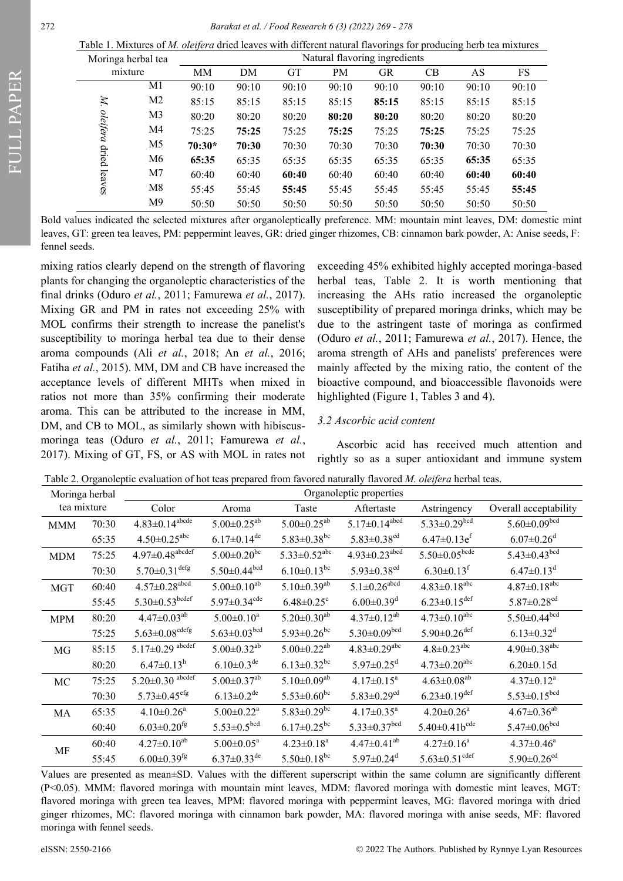Table 1. Mixtures of *M. oleifera* dried leaves with different natural flavorings for producing herb tea mixtures

| Moringa herbal tea          |                | Natural flavoring ingredients |       |           |           |           |       |       |       |
|-----------------------------|----------------|-------------------------------|-------|-----------|-----------|-----------|-------|-------|-------|
| mixture                     |                | MM                            | DM    | <b>GT</b> | <b>PM</b> | <b>GR</b> | CB    | AS    | FS    |
|                             | M1             | 90:10                         | 90:10 | 90:10     | 90:10     | 90:10     | 90:10 | 90:10 | 90:10 |
| M.                          | M <sub>2</sub> | 85:15                         | 85:15 | 85:15     | 85:15     | 85:15     | 85:15 | 85:15 | 85:15 |
|                             | M3             | 80:20                         | 80:20 | 80:20     | 80:20     | 80:20     | 80:20 | 80:20 | 80:20 |
| oleifera<br>dried<br>leaves | M4             | 75:25                         | 75:25 | 75:25     | 75:25     | 75:25     | 75:25 | 75:25 | 75:25 |
|                             | M5             | $70:30*$                      | 70:30 | 70:30     | 70:30     | 70:30     | 70:30 | 70:30 | 70:30 |
|                             | M6             | 65:35                         | 65:35 | 65:35     | 65:35     | 65:35     | 65:35 | 65:35 | 65:35 |
|                             | M7             | 60:40                         | 60:40 | 60:40     | 60:40     | 60:40     | 60:40 | 60:40 | 60:40 |
|                             | M8             | 55:45                         | 55:45 | 55:45     | 55:45     | 55:45     | 55:45 | 55:45 | 55:45 |
|                             | M <sup>9</sup> | 50:50                         | 50:50 | 50:50     | 50:50     | 50:50     | 50:50 | 50:50 | 50:50 |

Bold values indicated the selected mixtures after organoleptically preference. MM: mountain mint leaves, DM: domestic mint leaves, GT: green tea leaves, PM: peppermint leaves, GR: dried ginger rhizomes, CB: cinnamon bark powder, A: Anise seeds, F: fennel seeds.

mixing ratios clearly depend on the strength of flavoring plants for changing the organoleptic characteristics of the final drinks (Oduro *et al.*, 2011; Famurewa *et al.*, 2017). Mixing GR and PM in rates not exceeding 25% with MOL confirms their strength to increase the panelist's susceptibility to moringa herbal tea due to their dense aroma compounds (Ali *et al.*, 2018; An *et al.*, 2016; Fatiha *et al.*, 2015). MM, DM and CB have increased the acceptance levels of different MHTs when mixed in ratios not more than 35% confirming their moderate aroma. This can be attributed to the increase in MM, DM, and CB to MOL, as similarly shown with hibiscusmoringa teas (Oduro *et al.*, 2011; Famurewa *et al.*, 2017). Mixing of GT, FS, or AS with MOL in rates not

exceeding 45% exhibited highly accepted moringa-based herbal teas, Table 2. It is worth mentioning that increasing the AHs ratio increased the organoleptic susceptibility of prepared moringa drinks, which may be due to the astringent taste of moringa as confirmed (Oduro *et al.*, 2011; Famurewa *et al.*, 2017). Hence, the aroma strength of AHs and panelists' preferences were mainly affected by the mixing ratio, the content of the bioactive compound, and bioaccessible flavonoids were highlighted (Figure 1, Tables 3 and 4).

### *3.2 Ascorbic acid content*

Ascorbic acid has received much attention and rightly so as a super antioxidant and immune system

Table 2. Organoleptic evaluation of hot teas prepared from favored naturally flavored *M. oleifera* herbal teas.

| Moringa herbal |       | Organoleptic properties           |                                 |                                |                                 |                                 |                                |  |  |
|----------------|-------|-----------------------------------|---------------------------------|--------------------------------|---------------------------------|---------------------------------|--------------------------------|--|--|
| tea mixture    |       | Color                             | Aroma                           | Taste                          | Aftertaste                      | Astringency                     | Overall acceptability          |  |  |
| <b>MMM</b>     | 70:30 | $4.83 \pm 0.14$ <sup>abcde</sup>  | $5.00 \pm 0.25^{ab}$            | $5.00 \pm 0.25$ <sup>ab</sup>  | $5.17 \pm 0.14^{\text{abcd}}$   | $5.33 \pm 0.29^{bcd}$           | $5.60{\pm}0.09^{bcd}$          |  |  |
|                | 65:35 | $4.50 \pm 0.25$ <sup>abc</sup>    | $6.17 \pm 0.14$ <sup>de</sup>   | $5.83 \pm 0.38^{\rm bc}$       | $5.83 \pm 0.38$ <sup>cd</sup>   | $6.47 \pm 0.13e^{f}$            | $6.07 \pm 0.26$ <sup>d</sup>   |  |  |
| <b>MDM</b>     | 75:25 | $4.97 \pm 0.48$ <sup>abcdef</sup> | $5.00 \pm 0.20^{b\overline{c}}$ | $5.33 \pm 0.52$ <sup>abc</sup> | $4.93 \pm 0.23$ <sup>abcd</sup> | $5.50\pm0.05^{\text{bcde}}$     | $5.43 \pm 0.43 \overline{b}$   |  |  |
|                | 70:30 | $5.70 \pm 0.31^{\text{defg}}$     | $5.50{\pm}0.44^{\text{bcd}}$    | $6.10{\pm}0.13^{bc}$           | 5.93 $\pm$ 0.38 <sup>ed</sup>   | $6.30 \pm 0.13$ <sup>f</sup>    | $6.47 \pm 0.13$ <sup>d</sup>   |  |  |
| <b>MGT</b>     | 60:40 | $4.57 \pm 0.28$ abcd              | $5.00 \pm 0.10^{ab}$            | $5.10 \pm 0.39$ <sup>ab</sup>  | $5.1 \pm 0.26$ abcd             | $4.83 \pm 0.18$ <sup>abc</sup>  | $4.87 \pm 0.18$ <sup>abc</sup> |  |  |
|                | 55:45 | $5.30{\pm}0.53^{\text{bcdef}}$    | $5.97 \pm 0.34$ <sup>cde</sup>  | $6.48 \pm 0.25$ <sup>c</sup>   | $6.00 \pm 0.39$ <sup>d</sup>    | $6.23 \pm 0.15$ <sup>def</sup>  | $5.87 \pm 0.28$ <sup>cd</sup>  |  |  |
| <b>MPM</b>     | 80:20 | $4.47 \pm 0.03$ <sup>ab</sup>     | $5.00 \pm 0.10^a$               | $5.20 \pm 0.30^{ab}$           | $4.37 \pm 0.12^{ab}$            | $4.73 \pm 0.10^{abc}$           | $5.50 \pm 0.44$ bed            |  |  |
|                | 75:25 | $5.63{\pm}0.08^{\text{cdefg}}$    | $5.63{\pm}0.03^{\text{bcd}}$    | $5.93 \pm 0.26$ <sup>bc</sup>  | $5.30 \pm 0.09^{bcd}$           | $5.90 \pm 0.26$ <sup>def</sup>  | $6.13 \pm 0.32$ <sup>d</sup>   |  |  |
| MG             | 85:15 | $5.17 \pm 0.29$ abcdef            | $5.00 \pm 0.32$ <sup>ab</sup>   | $5.00 \pm 0.22$ <sup>ab</sup>  | $4.83 \pm 0.29$ <sup>abc</sup>  | $4.8 \pm 0.23$ <sup>abc</sup>   | $4.90 \pm 0.38$ <sup>abc</sup> |  |  |
|                | 80:20 | $6.47 \pm 0.13$ <sup>h</sup>      | $6.10{\pm}0.3^{\rm de}$         | $6.13 \pm 0.32$ <sup>bc</sup>  | $5.97 \pm 0.25$ <sup>d</sup>    | $4.73 \pm 0.20$ <sup>abc</sup>  | $6.20 \pm 0.15d$               |  |  |
| MC             | 75:25 | $5.20 \pm 0.30$ <sup>abcdef</sup> | $5.00{\pm}0.37^{\text{ab}}$     | $5.10 \pm 0.09^{ab}$           | $4.17 \pm 0.15^a$               | $4.63{\pm}0.08^{\text{ab}}$     | $4.37 \pm 0.12$ <sup>a</sup>   |  |  |
|                | 70:30 | $5.73 \pm 0.45$ <sup>efg</sup>    | $6.13 \pm 0.2$ <sup>de</sup>    | $5.53 \pm 0.60^{\rm bc}$       | $5.83 \pm 0.29$ <sup>cd</sup>   | $6.23 \pm 0.19$ <sup>def</sup>  | $5.53 \pm 0.15^{bcd}$          |  |  |
| MA             | 65:35 | $4.10 \pm 0.26$ <sup>a</sup>      | $5.00 \pm 0.22$ <sup>a</sup>    | $5.83 \pm 0.29$ <sup>bc</sup>  | $4.17 \pm 0.35$ <sup>a</sup>    | $4.20 \pm 0.26^a$               | $4.67 \pm 0.36^\mathrm{ab}$    |  |  |
|                | 60:40 | $6.03 \pm 0.20$ <sup>fg</sup>     | $5.53 \pm 0.5^{bcd}$            | $6.17 \pm 0.25$ <sup>bc</sup>  | $5.33 \pm 0.37$ bcd             | $5.40 \pm 0.41b^{cde}$          | $5.47{\pm}0.06^{\rm bed}$      |  |  |
| MF             | 60:40 | $4.27 \pm 0.10^{ab}$              | $5.00 \pm 0.05^a$               | $4.23 \pm 0.18^a$              | $4.47 \pm 0.41^{ab}$            | $4.27 \pm 0.16^a$               | $4.37 \pm 0.46^a$              |  |  |
|                | 55:45 | $6.00 \pm 0.39$ <sup>fg</sup>     | $6.37 \pm 0.33$ <sup>de</sup>   | $5.50 \pm 0.18$ bc             | $5.97 \pm 0.24$ <sup>d</sup>    | $5.63 \pm 0.51$ <sup>cdef</sup> | $5.90 \pm 0.26$ <sup>cd</sup>  |  |  |

Values are presented as mean±SD. Values with the different superscript within the same column are significantly different (P<0.05). MMM: flavored moringa with mountain mint leaves, MDM: flavored moringa with domestic mint leaves, MGT: flavored moringa with green tea leaves, MPM: flavored moringa with peppermint leaves, MG: flavored moringa with dried ginger rhizomes, MC: flavored moringa with cinnamon bark powder, MA: flavored moringa with anise seeds, MF: flavored moringa with fennel seeds.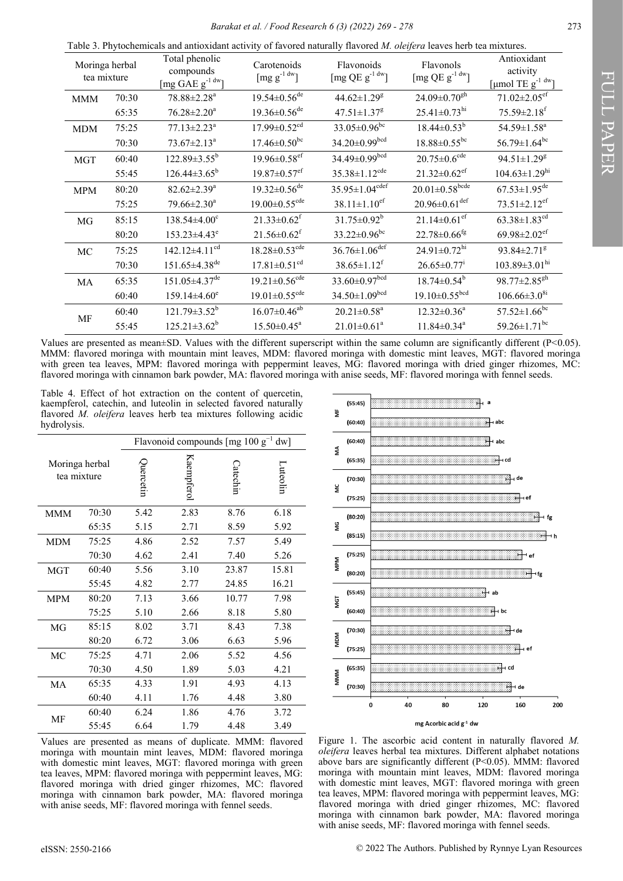| Table 3. Phytochemicals and antioxidant activity of favored naturally flavored <i>M. oleifera</i> leaves herb tea mixtures. |  |
|-----------------------------------------------------------------------------------------------------------------------------|--|
|-----------------------------------------------------------------------------------------------------------------------------|--|

| tea mixture | Moringa herbal | Total phenolic<br>compounds<br>$\left[\text{mg GAE}\ g^{1 \text{ dw}}\right]$ | Carotenoids<br>[ $mg g^{-1}$ <sup>dw</sup> ] | Flavonoids<br>[mg QE $g^{-1}$ <sup>dw</sup> ] | Flavonols<br>[mg QE $g^{-1}$ <sup>dw</sup> ] | Antioxidant<br>activity<br>$\left[\mu\text{mol TE g}^{-1} \right]$ <sup>dw</sup> ] |
|-------------|----------------|-------------------------------------------------------------------------------|----------------------------------------------|-----------------------------------------------|----------------------------------------------|------------------------------------------------------------------------------------|
| <b>MMM</b>  | 70:30          | 78.88±2.28 <sup>a</sup>                                                       | $19.54 \pm 0.56$ <sup>de</sup>               | 44.62±1.29 <sup>g</sup>                       | $24.09 \pm 0.70$ <sup>gh</sup>               | $71.02 \pm 2.05$ <sup>ef</sup>                                                     |
|             | 65:35          | $76.28 \pm 2.20^a$                                                            | $19.36 \pm 0.56$ <sup>de</sup>               | $47.51 \pm 1.37$ <sup>g</sup>                 | $25.41 \pm 0.73$ <sup>hi</sup>               | $75.59 \pm 2.18$ <sup>f</sup>                                                      |
| <b>MDM</b>  | 75:25          | $77.13 \pm 2.23$ <sup>a</sup>                                                 | $17.99 \pm 0.52$ <sup>cd</sup>               | $33.05 \pm 0.96$ bc                           | $18.44 \pm 0.53^b$                           | 54.59±1.58 <sup>a</sup>                                                            |
|             | 70:30          | $73.67 \pm 2.13^a$                                                            | $17.46 \pm 0.50$ <sup>bc</sup>               | $34.20 \pm 0.99$ bcd                          | $18.88 \pm 0.55$ <sup>bc</sup>               | $56.79 \pm 1.64$ <sup>bc</sup>                                                     |
| <b>MGT</b>  | 60:40          | $122.89 \pm 3.55^b$                                                           | $19.96 \pm 0.58$ ef                          | 34.49±0.99bcd                                 | $20.75 \pm 0.6^{\text{cde}}$                 | $94.51 \pm 1.29$ <sup>g</sup>                                                      |
|             | 55:45          | $126.44\pm3.65^{\rm b}$                                                       | $19.87 \pm 0.57$ <sup>ef</sup>               | $35.38 \pm 1.12$ <sup>cde</sup>               | $21.32 \pm 0.62$ <sup>ef</sup>               | $104.63 \pm 1.29$ hi                                                               |
| <b>MPM</b>  | 80:20          | $82.62 \pm 2.39^a$                                                            | $19.32 \pm 0.56$ <sup>de</sup>               | $35.95 \pm 1.04^{cdef}$                       | $20.01 \pm 0.58^{\rm bede}$                  | $67.53 \pm 1.95$ <sup>de</sup>                                                     |
|             | 75:25          | $79.66 \pm 2.30^a$                                                            | $19.00 \pm 0.55$ <sup>cde</sup>              | $38.11 \pm 1.10$ <sup>ef</sup>                | $20.96 \pm 0.61$ <sup>def</sup>              | $73.51 \pm 2.12$ <sup>ef</sup>                                                     |
| MG          | 85:15          | $138.54 \pm 4.00$ <sup>c</sup>                                                | $21.33 \pm 0.62$ <sup>f</sup>                | $31.75 \pm 0.92^b$                            | $21.14 \pm 0.61$ <sup>ef</sup>               | $63.38 \pm 1.83$ <sup>cd</sup>                                                     |
|             | 80:20          | $153.23 \pm 4.43^e$                                                           | $21.56 \pm 0.62$ <sup>f</sup>                | $33.22 \pm 0.96$ bc                           | $22.78 \pm 0.66$ <sup>fg</sup>               | 69.98 $\pm$ 2.02 <sup>ef</sup>                                                     |
| MC          | 75:25          | $142.12 \pm 4.11$ <sup>cd</sup>                                               | $18.28 \pm 0.53$ <sup>cde</sup>              | $36.76 \pm 1.06$ <sup>def</sup>               | $24.91 \pm 0.72$ <sup>hi</sup>               | 93.84±2.71 <sup>g</sup>                                                            |
|             | 70:30          | 151.65±4.38 <sup>de</sup>                                                     | $17.81 \pm 0.51$ <sup>cd</sup>               | $38.65 \pm 1.12$ <sup>f</sup>                 | $26.65 \pm 0.77$ <sup>i</sup>                | $103.89 \pm 3.01$ hi                                                               |
| MA          | 65:35          | $151.05 \pm 4.37$ <sup>de</sup>                                               | $19.21 \pm 0.56$ <sup>cde</sup>              | $33.60 \pm 0.97^{bcd}$                        | $18.74 \pm 0.54^b$                           | $98.77 \pm 2.85$ <sup>gh</sup>                                                     |
|             | 60:40          | $159.14 \pm 4.60$ <sup>e</sup>                                                | $19.01 \pm 0.55$ <sup>cde</sup>              | $34.50 \pm 1.09^{bcd}$                        | $19.10\pm0.55$ <sup>bcd</sup>                | $106.66\pm3.0^{8i}$                                                                |
| MF          | 60:40          | $121.79 \pm 3.52^b$                                                           | $16.07 \pm 0.46$ <sup>ab</sup>               | $20.21 \pm 0.58$ <sup>a</sup>                 | $12.32 \pm 0.36^a$                           | $57.52 \pm 1.66$ <sup>bc</sup>                                                     |
|             | 55:45          | $125.21 \pm 3.62^b$                                                           | $15.50 \pm 0.45^{\text{a}}$                  | $21.01 \pm 0.61^a$                            | $11.84 \pm 0.34$ <sup>a</sup>                | 59.26 $\pm$ 1.71 <sup>bc</sup>                                                     |

Values are presented as mean $\pm$ SD. Values with the different superscript within the same column are significantly different (P<0.05). MMM: flavored moringa with mountain mint leaves, MDM: flavored moringa with domestic mint leaves, MGT: flavored moringa with green tea leaves, MPM: flavored moringa with peppermint leaves, MG: flavored moringa with dried ginger rhizomes, MC: flavored moringa with cinnamon bark powder, MA: flavored moringa with anise seeds, MF: flavored moringa with fennel seeds.

Table 4. Effect of hot extraction on the content of quercetin, kaempferol, catechin, and luteolin in selected favored naturally flavored *M. oleifera* leaves herb tea mixtures following acidic hydrolysis.

|                               |       | Flavonoid compounds $\lceil \text{mg } 100 \text{ g}^{-1} \rceil$<br>$dw$ ] |            |          |          |  |  |
|-------------------------------|-------|-----------------------------------------------------------------------------|------------|----------|----------|--|--|
| Moringa herbal<br>tea mixture |       | puercetin                                                                   | Kaempferol | Catechin | Luteolin |  |  |
| <b>MMM</b>                    | 70:30 | 5.42                                                                        | 2.83       | 8.76     | 6.18     |  |  |
|                               | 65:35 | 5.15                                                                        | 2.71       | 8.59     | 5.92     |  |  |
| MDM                           | 75:25 | 4.86                                                                        | 2.52       | 7.57     | 5.49     |  |  |
|                               | 70:30 | 4.62                                                                        | 2.41       | 7.40     | 5.26     |  |  |
| <b>MGT</b>                    | 60:40 | 5.56                                                                        | 3.10       | 23.87    | 15.81    |  |  |
|                               | 55:45 | 4.82                                                                        | 2.77       | 24.85    | 16.21    |  |  |
| <b>MPM</b>                    | 80:20 | 7.13                                                                        | 3.66       | 10.77    | 7.98     |  |  |
|                               | 75:25 | 5.10                                                                        | 2.66       | 8.18     | 5.80     |  |  |
| MG                            | 85:15 | 8.02                                                                        | 3.71       | 8.43     | 7.38     |  |  |
|                               | 80:20 | 6.72                                                                        | 3.06       | 6.63     | 5.96     |  |  |
| MC                            | 75:25 | 4.71                                                                        | 2.06       | 5.52     | 4.56     |  |  |
|                               | 70:30 | 4.50                                                                        | 1.89       | 5.03     | 4.21     |  |  |
| MA                            | 65:35 | 4.33                                                                        | 1.91       | 4.93     | 4.13     |  |  |
|                               | 60:40 | 4.11                                                                        | 1.76       | 4.48     | 3.80     |  |  |
| МF                            | 60:40 | 6.24                                                                        | 1.86       | 4.76     | 3.72     |  |  |
|                               | 55:45 | 6.64                                                                        | 1.79       | 4.48     | 3.49     |  |  |

Values are presented as means of duplicate. MMM: flavored moringa with mountain mint leaves, MDM: flavored moringa with domestic mint leaves, MGT: flavored moringa with green tea leaves, MPM: flavored moringa with peppermint leaves, MG: flavored moringa with dried ginger rhizomes, MC: flavored moringa with cinnamon bark powder, MA: flavored moringa with anise seeds, MF: flavored moringa with fennel seeds.



Figure 1. The ascorbic acid content in naturally flavored *M. oleifera* leaves herbal tea mixtures. Different alphabet notations above bars are significantly different (P<0.05). MMM: flavored moringa with mountain mint leaves, MDM: flavored moringa with domestic mint leaves, MGT: flavored moringa with green tea leaves, MPM: flavored moringa with peppermint leaves, MG: flavored moringa with dried ginger rhizomes, MC: flavored moringa with cinnamon bark powder, MA: flavored moringa with anise seeds, MF: flavored moringa with fennel seeds.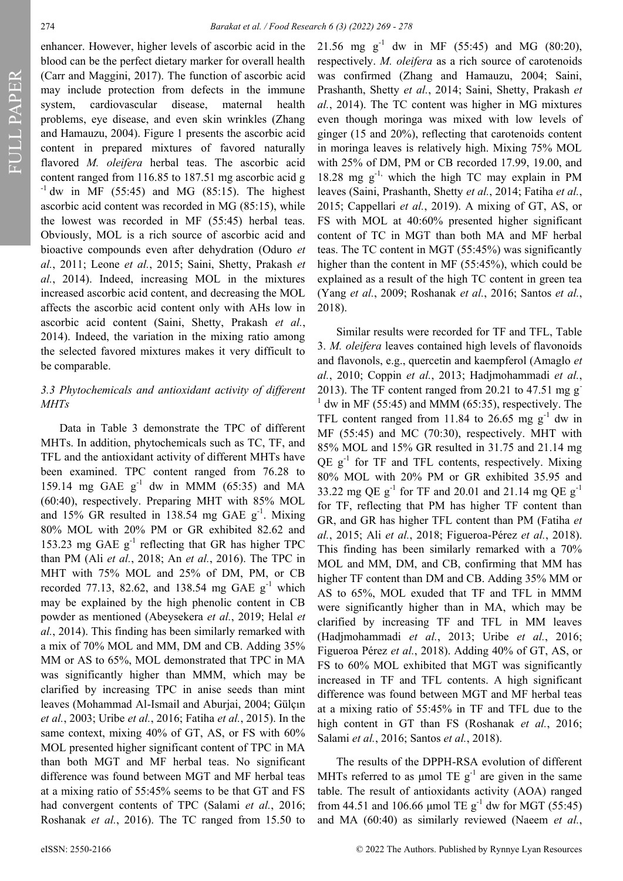FULL PAPER

enhancer. However, higher levels of ascorbic acid in the blood can be the perfect dietary marker for overall health (Carr and Maggini, 2017). The function of ascorbic acid may include protection from defects in the immune system, cardiovascular disease, maternal health problems, eye disease, and even skin wrinkles (Zhang and Hamauzu, 2004). Figure 1 presents the ascorbic acid content in prepared mixtures of favored naturally flavored *M. oleifera* herbal teas. The ascorbic acid content ranged from 116.85 to 187.51 mg ascorbic acid g  $^{-1}$  dw in MF (55:45) and MG (85:15). The highest ascorbic acid content was recorded in MG (85:15), while the lowest was recorded in MF (55:45) herbal teas. Obviously, MOL is a rich source of ascorbic acid and bioactive compounds even after dehydration (Oduro *et al.*, 2011; Leone *et al.*, 2015; Saini, Shetty, Prakash *et al.*, 2014). Indeed, increasing MOL in the mixtures increased ascorbic acid content, and decreasing the MOL affects the ascorbic acid content only with AHs low in ascorbic acid content (Saini, Shetty, Prakash *et al.*, 2014). Indeed, the variation in the mixing ratio among the selected favored mixtures makes it very difficult to be comparable.

## *3.3 Phytochemicals and antioxidant activity of different MHTs*

Data in Table 3 demonstrate the TPC of different MHTs. In addition, phytochemicals such as TC, TF, and TFL and the antioxidant activity of different MHTs have been examined. TPC content ranged from 76.28 to 159.14 mg GAE  $g^{-1}$  dw in MMM (65:35) and MA (60:40), respectively. Preparing MHT with 85% MOL and 15% GR resulted in 138.54 mg GAE  $g^{-1}$ . Mixing 80% MOL with 20% PM or GR exhibited 82.62 and 153.23 mg GAE  $g^{-1}$  reflecting that GR has higher TPC than PM (Ali *et al.*, 2018; An *et al.*, 2016). The TPC in MHT with 75% MOL and 25% of DM, PM, or CB recorded 77.13, 82.62, and 138.54 mg GAE  $g^{-1}$  which may be explained by the high phenolic content in CB powder as mentioned (Abeysekera *et al.*, 2019; Helal *et al.*, 2014). This finding has been similarly remarked with a mix of 70% MOL and MM, DM and CB. Adding 35% MM or AS to 65%, MOL demonstrated that TPC in MA was significantly higher than MMM, which may be clarified by increasing TPC in anise seeds than mint leaves (Mohammad Al-Ismail and Aburjai, 2004; Gülçın *et al.*, 2003; Uribe *et al.*, 2016; Fatiha *et al.*, 2015). In the same context, mixing 40% of GT, AS, or FS with 60% MOL presented higher significant content of TPC in MA than both MGT and MF herbal teas. No significant difference was found between MGT and MF herbal teas at a mixing ratio of 55:45% seems to be that GT and FS had convergent contents of TPC (Salami *et al.*, 2016; Roshanak *et al.*, 2016). The TC ranged from 15.50 to

21.56 mg  $g^{-1}$  dw in MF (55:45) and MG (80:20), respectively. *M. oleifera* as a rich source of carotenoids was confirmed (Zhang and Hamauzu, 2004; Saini, Prashanth, Shetty *et al.*, 2014; Saini, Shetty, Prakash *et al.*, 2014). The TC content was higher in MG mixtures even though moringa was mixed with low levels of ginger (15 and 20%), reflecting that carotenoids content in moringa leaves is relatively high. Mixing 75% MOL with 25% of DM, PM or CB recorded 17.99, 19.00, and 18.28 mg  $g^{-1}$ , which the high TC may explain in PM leaves (Saini, Prashanth, Shetty *et al.*, 2014; Fatiha *et al.*, 2015; Cappellari *et al.*, 2019). A mixing of GT, AS, or FS with MOL at 40:60% presented higher significant content of TC in MGT than both MA and MF herbal teas. The TC content in MGT (55:45%) was significantly higher than the content in MF (55:45%), which could be explained as a result of the high TC content in green tea (Yang *et al.*, 2009; Roshanak *et al.*, 2016; Santos *et al.*, 2018).

Similar results were recorded for TF and TFL, Table 3. *M. oleifera* leaves contained high levels of flavonoids and flavonols, e.g., quercetin and kaempferol (Amaglo *et al.*, 2010; Coppin *et al.*, 2013; Hadjmohammadi *et al.*, 2013). The TF content ranged from 20.21 to 47.51 mg g  $1$  dw in MF (55:45) and MMM (65:35), respectively. The TFL content ranged from 11.84 to 26.65 mg  $g^{-1}$  dw in MF (55:45) and MC (70:30), respectively. MHT with 85% MOL and 15% GR resulted in 31.75 and 21.14 mg QE  $g^{-1}$  for TF and TFL contents, respectively. Mixing 80% MOL with 20% PM or GR exhibited 35.95 and 33.22 mg QE  $g^{-1}$  for TF and 20.01 and 21.14 mg QE  $g^{-1}$ for TF, reflecting that PM has higher TF content than GR, and GR has higher TFL content than PM (Fatiha *et al.*, 2015; Ali *et al.*, 2018; Figueroa-Pérez *et al.*, 2018). This finding has been similarly remarked with a 70% MOL and MM, DM, and CB, confirming that MM has higher TF content than DM and CB. Adding 35% MM or AS to 65%, MOL exuded that TF and TFL in MMM were significantly higher than in MA, which may be clarified by increasing TF and TFL in MM leaves (Hadjmohammadi *et al.*, 2013; Uribe *et al.*, 2016; Figueroa Pérez *et al.*, 2018). Adding 40% of GT, AS, or FS to 60% MOL exhibited that MGT was significantly increased in TF and TFL contents. A high significant difference was found between MGT and MF herbal teas at a mixing ratio of 55:45% in TF and TFL due to the high content in GT than FS (Roshanak *et al.*, 2016; Salami *et al.*, 2016; Santos *et al.*, 2018).

The results of the DPPH-RSA evolution of different MHTs referred to as µmol TE  $g^{-1}$  are given in the same table. The result of antioxidants activity (AOA) ranged from 44.51 and 106.66 µmol TE  $g^{-1}$  dw for MGT (55:45) and MA (60:40) as similarly reviewed (Naeem *et al.*,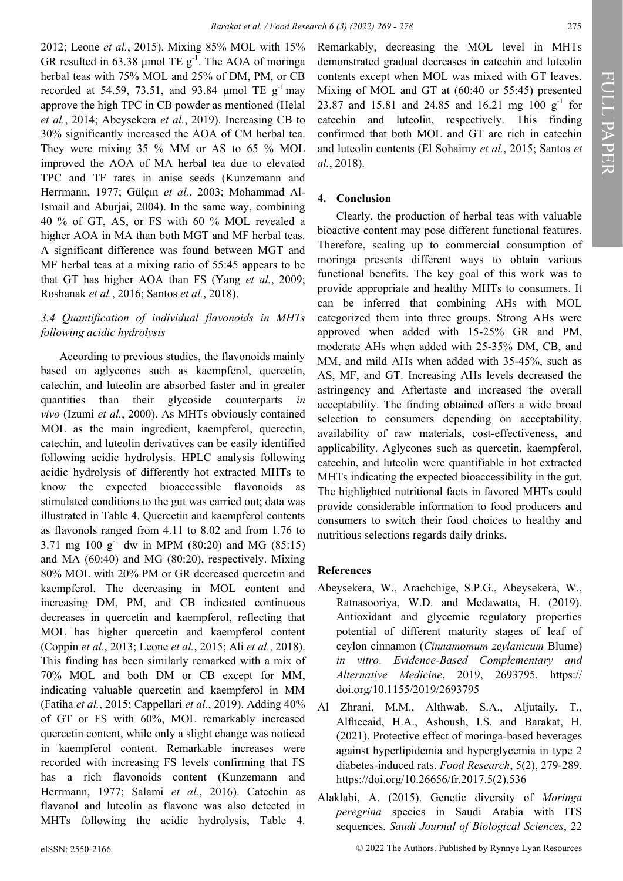2012; Leone *et al.*, 2015). Mixing 85% MOL with 15% GR resulted in 63.38 µmol TE  $g^{-1}$ . The AOA of moringa herbal teas with 75% MOL and 25% of DM, PM, or CB recorded at 54.59, 73.51, and 93.84  $\mu$ mol TE g<sup>-1</sup>may approve the high TPC in CB powder as mentioned (Helal *et al.*, 2014; Abeysekera *et al.*, 2019). Increasing CB to 30% significantly increased the AOA of CM herbal tea. They were mixing 35 % MM or AS to 65 % MOL improved the AOA of MA herbal tea due to elevated TPC and TF rates in anise seeds (Kunzemann and Herrmann, 1977; Gülçın *et al.*, 2003; Mohammad Al-Ismail and Aburjai, 2004). In the same way, combining 40 % of GT, AS, or FS with 60 % MOL revealed a higher AOA in MA than both MGT and MF herbal teas. A significant difference was found between MGT and MF herbal teas at a mixing ratio of 55:45 appears to be that GT has higher AOA than FS (Yang *et al.*, 2009; Roshanak *et al.*, 2016; Santos *et al.*, 2018).

# *3.4 Quantification of individual flavonoids in MHTs following acidic hydrolysis*

According to previous studies, the flavonoids mainly based on aglycones such as kaempferol, quercetin, catechin, and luteolin are absorbed faster and in greater quantities than their glycoside counterparts *in vivo* (Izumi *et al.*, 2000). As MHTs obviously contained MOL as the main ingredient, kaempferol, quercetin, catechin, and luteolin derivatives can be easily identified following acidic hydrolysis. HPLC analysis following acidic hydrolysis of differently hot extracted MHTs to know the expected bioaccessible flavonoids as stimulated conditions to the gut was carried out; data was illustrated in Table 4. Quercetin and kaempferol contents as flavonols ranged from 4.11 to 8.02 and from 1.76 to 3.71 mg 100  $g^{-1}$  dw in MPM (80:20) and MG (85:15) and MA (60:40) and MG (80:20), respectively. Mixing 80% MOL with 20% PM or GR decreased quercetin and kaempferol. The decreasing in MOL content and increasing DM, PM, and CB indicated continuous decreases in quercetin and kaempferol, reflecting that MOL has higher quercetin and kaempferol content (Coppin *et al.*, 2013; Leone *et al.*, 2015; Ali *et al.*, 2018). This finding has been similarly remarked with a mix of 70% MOL and both DM or CB except for MM, indicating valuable quercetin and kaempferol in MM (Fatiha *et al.*, 2015; Cappellari *et al.*, 2019). Adding 40% of GT or FS with 60%, MOL remarkably increased quercetin content, while only a slight change was noticed in kaempferol content. Remarkable increases were recorded with increasing FS levels confirming that FS has a rich flavonoids content (Kunzemann and Herrmann, 1977; Salami *et al.*, 2016). Catechin as flavanol and luteolin as flavone was also detected in MHTs following the acidic hydrolysis, Table 4.

Remarkably, decreasing the MOL level in MHTs demonstrated gradual decreases in catechin and luteolin contents except when MOL was mixed with GT leaves. Mixing of MOL and GT at (60:40 or 55:45) presented 23.87 and 15.81 and 24.85 and 16.21 mg 100  $g^{-1}$  for catechin and luteolin, respectively. This finding confirmed that both MOL and GT are rich in catechin and luteolin contents (El Sohaimy *et al.*, 2015; Santos *et al.*, 2018).

# **4. Conclusion**

Clearly, the production of herbal teas with valuable bioactive content may pose different functional features. Therefore, scaling up to commercial consumption of moringa presents different ways to obtain various functional benefits. The key goal of this work was to provide appropriate and healthy MHTs to consumers. It can be inferred that combining AHs with MOL categorized them into three groups. Strong AHs were approved when added with 15-25% GR and PM, moderate AHs when added with 25-35% DM, CB, and MM, and mild AHs when added with 35-45%, such as AS, MF, and GT. Increasing AHs levels decreased the astringency and Aftertaste and increased the overall acceptability. The finding obtained offers a wide broad selection to consumers depending on acceptability, availability of raw materials, cost-effectiveness, and applicability. Aglycones such as quercetin, kaempferol, catechin, and luteolin were quantifiable in hot extracted MHTs indicating the expected bioaccessibility in the gut. The highlighted nutritional facts in favored MHTs could provide considerable information to food producers and consumers to switch their food choices to healthy and nutritious selections regards daily drinks.

# **References**

- Abeysekera, W., Arachchige, S.P.G., Abeysekera, W., Ratnasooriya, W.D. and Medawatta, H. (2019). Antioxidant and glycemic regulatory properties potential of different maturity stages of leaf of ceylon cinnamon (*Cinnamomum zeylanicum* Blume) *in vitro*. *Evidence-Based Complementary and Alternative Medicine*, 2019, 2693795. https:// doi.org/10.1155/2019/2693795
- Al Zhrani, M.M., Althwab, S.A., Aljutaily, T., Alfheeaid, H.A., Ashoush, I.S. and Barakat, H. (2021). Protective effect of moringa-based beverages against hyperlipidemia and hyperglycemia in type 2 diabetes-induced rats. *Food Research*, 5(2), 279-289. https://doi.org/10.26656/fr.2017.5(2).536
- Alaklabi, A. (2015). Genetic diversity of *Moringa peregrina* species in Saudi Arabia with ITS sequences. *Saudi Journal of Biological Sciences*, 22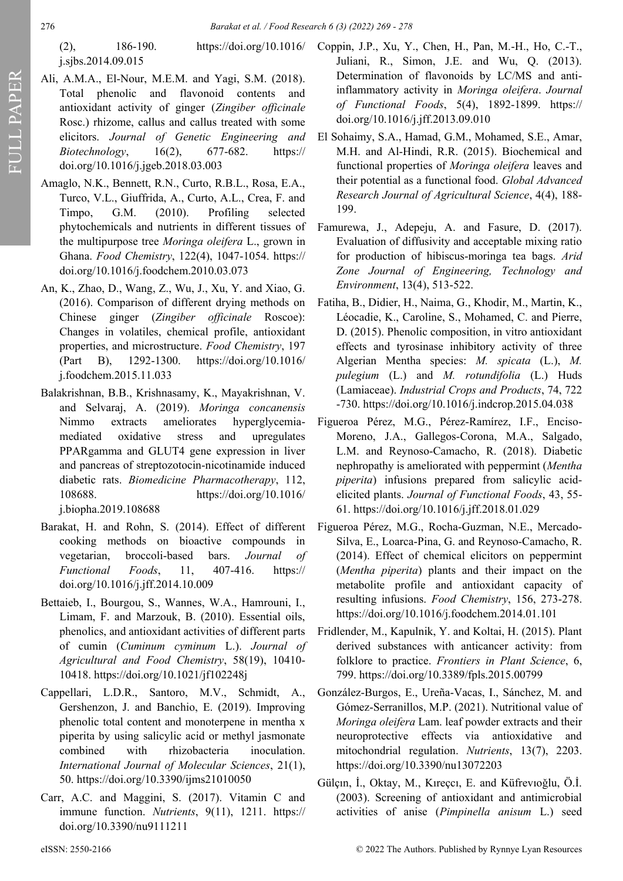j.sjbs.2014.09.015

- Ali, A.M.A., El-Nour, M.E.M. and Yagi, S.M. (2018). Total phenolic and flavonoid contents and antioxidant activity of ginger (*Zingiber officinale* Rosc.) rhizome, callus and callus treated with some elicitors. *Journal of Genetic Engineering and Biotechnology*, 16(2), 677-682. https:// doi.org/10.1016/j.jgeb.2018.03.003
- Amaglo, N.K., Bennett, R.N., Curto, R.B.L., Rosa, E.A., Turco, V.L., Giuffrida, A., Curto, A.L., Crea, F. and Timpo, G.M. (2010). Profiling selected phytochemicals and nutrients in different tissues of the multipurpose tree *Moringa oleifera* L., grown in Ghana. *Food Chemistry*, 122(4), 1047-1054. https:// doi.org/10.1016/j.foodchem.2010.03.073
- An, K., Zhao, D., Wang, Z., Wu, J., Xu, Y. and Xiao, G. (2016). Comparison of different drying methods on Chinese ginger (*Zingiber officinale* Roscoe): Changes in volatiles, chemical profile, antioxidant properties, and microstructure. *Food Chemistry*, 197 (Part B), 1292-1300. https://doi.org/10.1016/ j.foodchem.2015.11.033
- Balakrishnan, B.B., Krishnasamy, K., Mayakrishnan, V. and Selvaraj, A. (2019). *Moringa concanensis* Nimmo extracts ameliorates hyperglycemiamediated oxidative stress and upregulates PPARgamma and GLUT4 gene expression in liver and pancreas of streptozotocin-nicotinamide induced diabetic rats. *Biomedicine Pharmacotherapy*, 112, 108688. https://doi.org/10.1016/ j.biopha.2019.108688
- Barakat, H. and Rohn, S. (2014). Effect of different cooking methods on bioactive compounds in vegetarian, broccoli-based bars. *Journal of Functional Foods*, 11, 407-416. https:// doi.org/10.1016/j.jff.2014.10.009
- Bettaieb, I., Bourgou, S., Wannes, W.A., Hamrouni, I., Limam, F. and Marzouk, B. (2010). Essential oils, phenolics, and antioxidant activities of different parts of cumin (*Cuminum cyminum* L.). *Journal of Agricultural and Food Chemistry*, 58(19), 10410- 10418. https://doi.org/10.1021/jf102248j
- Cappellari, L.D.R., Santoro, M.V., Schmidt, A., Gershenzon, J. and Banchio, E. (2019). Improving phenolic total content and monoterpene in mentha x piperita by using salicylic acid or methyl jasmonate combined with rhizobacteria inoculation. *International Journal of Molecular Sciences*, 21(1), 50. https://doi.org/10.3390/ijms21010050
- Carr, A.C. and Maggini, S. (2017). Vitamin C and immune function. *Nutrients*, 9(11), 1211. https:// doi.org/10.3390/nu9111211
- (2), 186-190. https://doi.org/10.1016/ Coppin, J.P., Xu, Y., Chen, H., Pan, M.-H., Ho, C.-T., Juliani, R., Simon, J.E. and Wu, Q. (2013). Determination of flavonoids by LC/MS and antiinflammatory activity in *Moringa oleifera*. *Journal of Functional Foods*, 5(4), 1892-1899. https:// doi.org/10.1016/j.jff.2013.09.010
	- El Sohaimy, S.A., Hamad, G.M., Mohamed, S.E., Amar, M.H. and Al-Hindi, R.R. (2015). Biochemical and functional properties of *Moringa oleifera* leaves and their potential as a functional food. *Global Advanced Research Journal of Agricultural Science*, 4(4), 188- 199.
	- Famurewa, J., Adepeju, A. and Fasure, D. (2017). Evaluation of diffusivity and acceptable mixing ratio for production of hibiscus-moringa tea bags. *Arid Zone Journal of Engineering, Technology and Environment*, 13(4), 513-522.
	- Fatiha, B., Didier, H., Naima, G., Khodir, M., Martin, K., Léocadie, K., Caroline, S., Mohamed, C. and Pierre, D. (2015). Phenolic composition, in vitro antioxidant effects and tyrosinase inhibitory activity of three Algerian Mentha species: *M. spicata* (L.), *M. pulegium* (L.) and *M. rotundifolia* (L.) Huds (Lamiaceae). *Industrial Crops and Products*, 74, 722 -730. https://doi.org/10.1016/j.indcrop.2015.04.038
	- Figueroa Pérez, M.G., Pérez-Ramírez, I.F., Enciso-Moreno, J.A., Gallegos-Corona, M.A., Salgado, L.M. and Reynoso-Camacho, R. (2018). Diabetic nephropathy is ameliorated with peppermint (*Mentha piperita*) infusions prepared from salicylic acidelicited plants. *Journal of Functional Foods*, 43, 55- 61. https://doi.org/10.1016/j.jff.2018.01.029
	- Figueroa Pérez, M.G., Rocha-Guzman, N.E., Mercado-Silva, E., Loarca-Pina, G. and Reynoso-Camacho, R. (2014). Effect of chemical elicitors on peppermint (*Mentha piperita*) plants and their impact on the metabolite profile and antioxidant capacity of resulting infusions. *Food Chemistry*, 156, 273-278. https://doi.org/10.1016/j.foodchem.2014.01.101
	- Fridlender, M., Kapulnik, Y. and Koltai, H. (2015). Plant derived substances with anticancer activity: from folklore to practice. *Frontiers in Plant Science*, 6, 799. https://doi.org/10.3389/fpls.2015.00799
	- González-Burgos, E., Ureña-Vacas, I., Sánchez, M. and Gómez-Serranillos, M.P. (2021). Nutritional value of *Moringa oleifera* Lam. leaf powder extracts and their neuroprotective effects via antioxidative and mitochondrial regulation. *Nutrients*, 13(7), 2203. https://doi.org/10.3390/nu13072203
	- Gülçin, İ., Oktay, M., Kıreçci, E. and Küfrevioğlu, Ö.İ. (2003). Screening of antioxidant and antimicrobial activities of anise (*Pimpinella anisum* L.) seed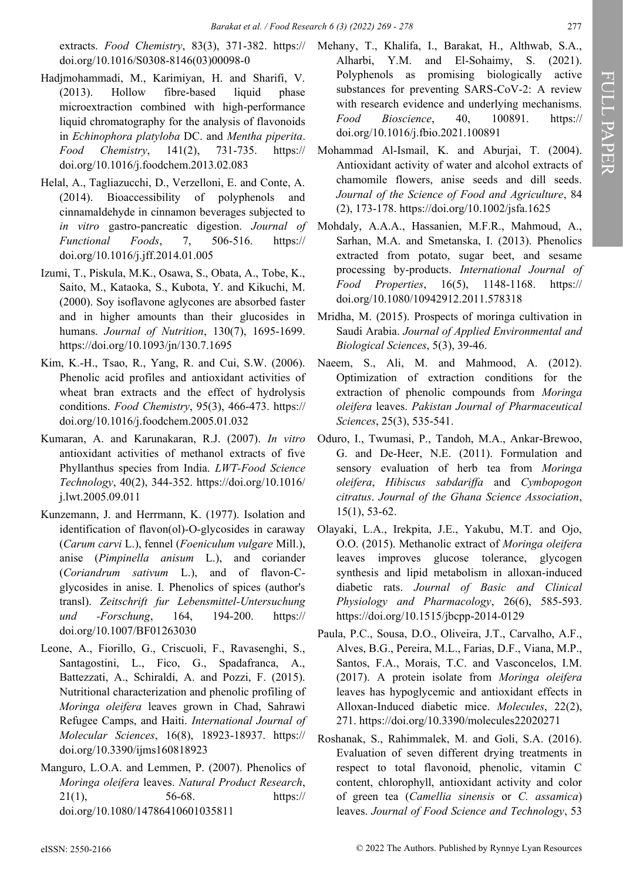extracts. *Food Chemistry*, 83(3), 371-382. https:// doi.org/10.1016/S0308-8146(03)00098-0

- Hadjmohammadi, M., Karimiyan, H. and Sharifi, V. (2013). Hollow fibre-based liquid phase microextraction combined with high-performance liquid chromatography for the analysis of flavonoids in *Echinophora platyloba* DC. and *Mentha piperita*. *Food Chemistry*, 141(2), 731-735. https:// doi.org/10.1016/j.foodchem.2013.02.083
- Helal, A., Tagliazucchi, D., Verzelloni, E. and Conte, A. (2014). Bioaccessibility of polyphenols and cinnamaldehyde in cinnamon beverages subjected to *in vitro* gastro-pancreatic digestion. *Journal of Functional Foods*, 7, 506-516. https:// doi.org/10.1016/j.jff.2014.01.005
- Izumi, T., Piskula, M.K., Osawa, S., Obata, A., Tobe, K., Saito, M., Kataoka, S., Kubota, Y. and Kikuchi, M. (2000). Soy isoflavone aglycones are absorbed faster and in higher amounts than their glucosides in humans. *Journal of Nutrition*, 130(7), 1695-1699. https://doi.org/10.1093/jn/130.7.1695
- Kim, K.-H., Tsao, R., Yang, R. and Cui, S.W. (2006). Phenolic acid profiles and antioxidant activities of wheat bran extracts and the effect of hydrolysis conditions. *Food Chemistry*, 95(3), 466-473. https:// doi.org/10.1016/j.foodchem.2005.01.032
- Kumaran, A. and Karunakaran, R.J. (2007). *In vitro* antioxidant activities of methanol extracts of five Phyllanthus species from India. *LWT-Food Science Technology*, 40(2), 344-352. https://doi.org/10.1016/ j.lwt.2005.09.011
- Kunzemann, J. and Herrmann, K. (1977). Isolation and identification of flavon(ol)-O-glycosides in caraway (*Carum carvi* L.), fennel (*Foeniculum vulgare* Mill.), anise (*Pimpinella anisum* L.), and coriander (*Coriandrum sativum* L.), and of flavon-Cglycosides in anise. I. Phenolics of spices (author's transl). *Zeitschrift fur Lebensmittel-Untersuchung und -Forschung*, 164, 194-200. https:// doi.org/10.1007/BF01263030
- Leone, A., Fiorillo, G., Criscuoli, F., Ravasenghi, S., Santagostini, L., Fico, G., Spadafranca, A., Battezzati, A., Schiraldi, A. and Pozzi, F. (2015). Nutritional characterization and phenolic profiling of *Moringa oleifera* leaves grown in Chad, Sahrawi Refugee Camps, and Haiti. *International Journal of Molecular Sciences*, 16(8), 18923-18937. https:// doi.org/10.3390/ijms160818923
- Manguro, L.O.A. and Lemmen, P. (2007). Phenolics of *Moringa oleifera* leaves. *Natural Product Research*, 21(1), 56-68. https:// doi.org/10.1080/14786410601035811
- Mehany, T., Khalifa, I., Barakat, H., Althwab, S.A., Alharbi, Y.M. and El-Sohaimy, S. (2021). Polyphenols as promising biologically active substances for preventing SARS-CoV-2: A review with research evidence and underlying mechanisms. *Food Bioscience*, 40, 100891. https:// doi.org/10.1016/j.fbio.2021.100891
- Mohammad Al-Ismail, K. and Aburjai, T. (2004). Antioxidant activity of water and alcohol extracts of chamomile flowers, anise seeds and dill seeds. *Journal of the Science of Food and Agriculture*, 84 (2), 173-178. https://doi.org/10.1002/jsfa.1625
- Mohdaly, A.A.A., Hassanien, M.F.R., Mahmoud, A., Sarhan, M.A. and Smetanska, I. (2013). Phenolics extracted from potato, sugar beet, and sesame processing by-products. *International Journal of Food Properties*, 16(5), 1148-1168. https:// doi.org/10.1080/10942912.2011.578318
- Mridha, M. (2015). Prospects of moringa cultivation in Saudi Arabia. *Journal of Applied Environmental and Biological Sciences*, 5(3), 39-46.
- Naeem, S., Ali, M. and Mahmood, A. (2012). Optimization of extraction conditions for the extraction of phenolic compounds from *Moringa oleifera* leaves. *Pakistan Journal of Pharmaceutical Sciences*, 25(3), 535-541.
- Oduro, I., Twumasi, P., Tandoh, M.A., Ankar-Brewoo, G. and De-Heer, N.E. (2011). Formulation and sensory evaluation of herb tea from *Moringa oleifera*, *Hibiscus sabdariffa* and *Cymbopogon citratus*. *Journal of the Ghana Science Association*, 15(1), 53-62.
- Olayaki, L.A., Irekpita, J.E., Yakubu, M.T. and Ojo, O.O. (2015). Methanolic extract of *Moringa oleifera* leaves improves glucose tolerance, glycogen synthesis and lipid metabolism in alloxan-induced diabetic rats. *Journal of Basic and Clinical Physiology and Pharmacology*, 26(6), 585-593. https://doi.org/10.1515/jbcpp-2014-0129
- Paula, P.C., Sousa, D.O., Oliveira, J.T., Carvalho, A.F., Alves, B.G., Pereira, M.L., Farias, D.F., Viana, M.P., Santos, F.A., Morais, T.C. and Vasconcelos, I.M. (2017). A protein isolate from *Moringa oleifera* leaves has hypoglycemic and antioxidant effects in Alloxan-Induced diabetic mice. *Molecules*, 22(2), 271. https://doi.org/10.3390/molecules22020271
- Roshanak, S., Rahimmalek, M. and Goli, S.A. (2016). Evaluation of seven different drying treatments in respect to total flavonoid, phenolic, vitamin C content, chlorophyll, antioxidant activity and color of green tea (*Camellia sinensis* or *C. assamica*) leaves. *Journal of Food Science and Technology*, 53